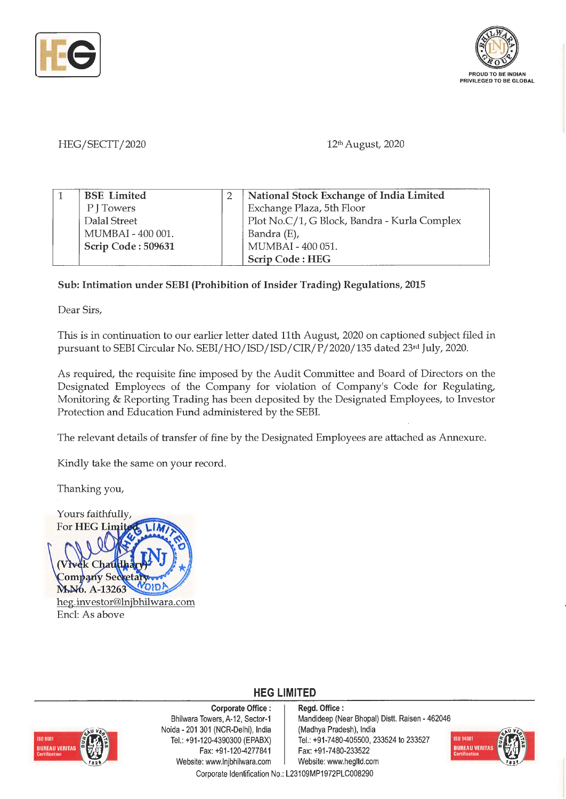



## HEG/SECTT/2020

12th August, 2020

| <b>BSE</b> Limited | National Stock Exchange of India Limited     |
|--------------------|----------------------------------------------|
| P   Towers         | Exchange Plaza, 5th Floor                    |
| Dalal Street       | Plot No.C/1, G Block, Bandra - Kurla Complex |
| MUMBAI - 400 001.  | Bandra (E),                                  |
| Scrip Code: 509631 | MUMBAI - 400 051.                            |
|                    | Scrip Code: HEG                              |

## **Sub: Intimation under SEBI (Prohibition of Insider Trading) Regulations, 2015**

Dear Sirs,

This is in continuation to our earlier letter dated 11th August, 2020 on captioned subject filed **in**  pursuant to SEBI Circular No. SEBI/HO/ISD/ISD/CIR/P/2020/135 dated 23rd July, 2020.

As required, the requisite fine imposed by the Audit Committee and Board of Directors on the Designated Employees of the Company for violation of Company's Code for Regulating, Monitoring & Reporting Trading has been deposited by the Designated Employees, to Investor Protection and Education Fund administered by the SEBI.

The relevant details of transfer of fine by the Designated Employees are attached as Annexure.

Kindly take the same on your record.

Thanking you,





**Corporate Office** : Bhilwara Towers, A-12, Sector-1 Naida - 201 301 (NCR-Delhi), India Tel.: +91 -120-4390300 (EPABX) Fax: +91-120-4277841 Website: www.lnjbhilwara.com | Website: www.hegltd.com

**Regd. Office** : Mandideep (Near Bhopal) Distt. Raisen - 462046 (Madhya Pradesh), India Tel.: +91 -7480-405500, 233524 to 233527 Fax: +91 -7480-233522



Corporate Identification No.: L23109MP1972PLC008290

**HEG LIMITED**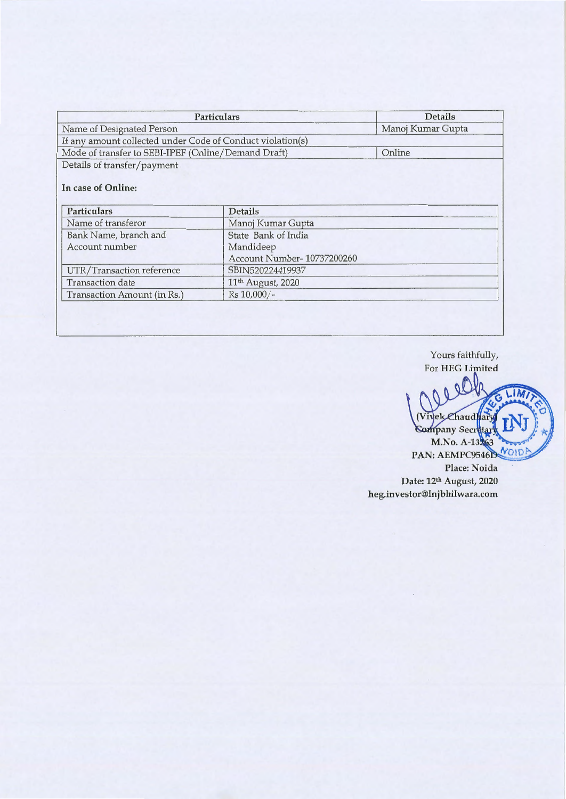| <b>Particulars</b>                                         |                               | <b>Details</b>    |  |
|------------------------------------------------------------|-------------------------------|-------------------|--|
| Name of Designated Person                                  |                               | Manoj Kumar Gupta |  |
| If any amount collected under Code of Conduct violation(s) |                               |                   |  |
| Mode of transfer to SEBI-IPEF (Online/Demand Draft)        |                               | Online            |  |
| Details of transfer/payment<br>In case of Online:          |                               |                   |  |
| <b>Particulars</b>                                         | <b>Details</b>                |                   |  |
| Name of transferor                                         | Manoj Kumar Gupta             |                   |  |
|                                                            |                               |                   |  |
| Bank Name, branch and                                      | State Bank of India           |                   |  |
| Account number                                             | Mandideep                     |                   |  |
|                                                            | Account Number-10737200260    |                   |  |
| UTR/Transaction reference                                  | SBIN520224419937              |                   |  |
| <b>Transaction</b> date                                    | 11 <sup>th</sup> August, 2020 |                   |  |

Yours faithfully, For **HEG Limited** 

Ila  $\mathbb{C}$ 0 LIM (Vivel Chaud ary Company Secretar! NOID **PAN: AEMPC9546D Place: Noida Date: 121h August, 2020 heg.investor@lnjbhilwara.com**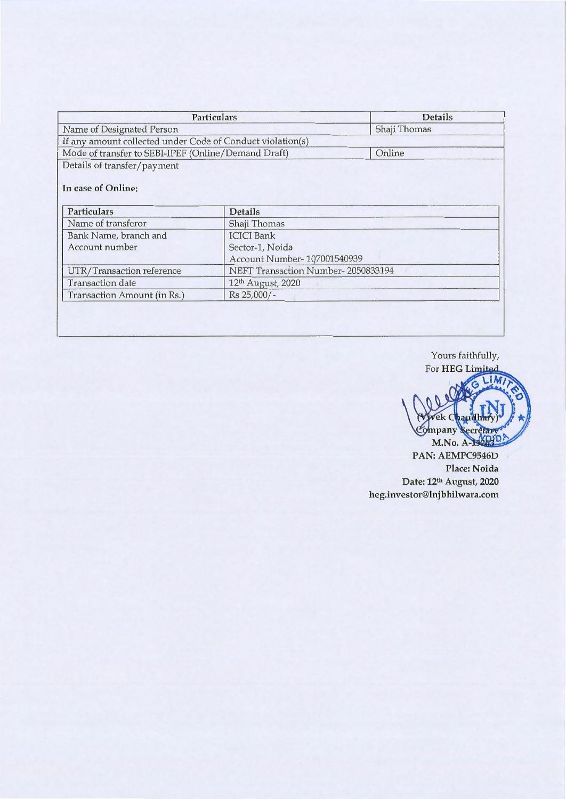| Particulars                                                |                                    | <b>Details</b> |  |
|------------------------------------------------------------|------------------------------------|----------------|--|
| Name of Designated Person                                  |                                    | Shaji Thomas   |  |
| If any amount collected under Code of Conduct violation(s) |                                    |                |  |
| Mode of transfer to SEBI-IPEF (Online/Demand Draft)        |                                    | Online         |  |
| Details of transfer/payment                                |                                    |                |  |
| In case of Online:<br><b>Particulars</b>                   | Details                            |                |  |
| Name of transferor                                         | Shaji Thomas                       |                |  |
| Bank Name, branch and                                      | <b>ICICI</b> Bank                  |                |  |
| Account number                                             | Sector-1, Noida                    |                |  |
|                                                            | Account Number-107001540939        |                |  |
| UTR/Transaction reference                                  | NEFT Transaction Number-2050833194 |                |  |
| <b>Transaction</b> date                                    | 12 <sup>th</sup> August, 2020      |                |  |
| Transaction Amount (in Rs.)                                | Rs 25,000/-                        |                |  |
|                                                            |                                    |                |  |

Yours faithfully, For **HEG** Limited

LIM. vek Chaudha Company Secretar M.No. A-132830

**PAN: AEMPC9546D Place: Noida Date: 12th August, 2020 heg.investor@lnjbhilwara.com**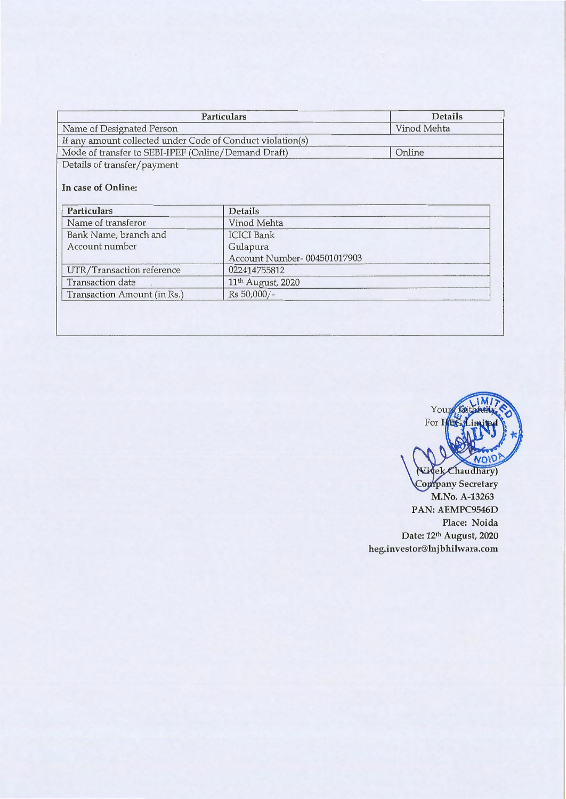| Particulars                                                | <b>Details</b>                          |        |
|------------------------------------------------------------|-----------------------------------------|--------|
| Name of Designated Person                                  | Vinod Mehta                             |        |
| If any amount collected under Code of Conduct violation(s) |                                         |        |
| Mode of transfer to SEBI-IPEF (Online/Demand Draft)        |                                         | Online |
| Details of transfer/payment                                |                                         |        |
| In case of Online:<br>Particulars                          | Details                                 |        |
| Name of transferor                                         | Vinod Mehta                             |        |
|                                                            | <b>ICICI</b> Bank                       |        |
|                                                            |                                         |        |
| Bank Name, branch and<br>Account number                    |                                         |        |
|                                                            | Gulapura<br>Account Number-004501017903 |        |
| UTR/Transaction reference                                  | 022414755812                            |        |
| <b>Transaction</b> date                                    | 11 <sup>th</sup> August, 2020           |        |



**PAN: AEMPC9546D Place: Noida Date: 12th August, 2020 heg.investor@lnjbhilwara.com**